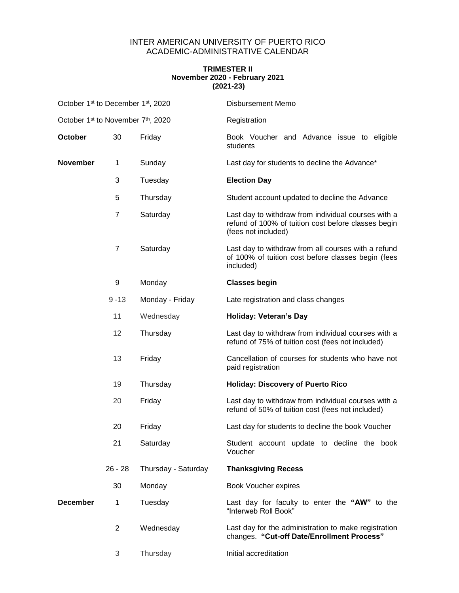## INTER AMERICAN UNIVERSITY OF PUERTO RICO ACADEMIC-ADMINISTRATIVE CALENDAR

## **TRIMESTER II November 2020 - February 2021 (2021-23)**

| October 1 <sup>st</sup> to December 1 <sup>st</sup> , 2020 |                |                     | <b>Disbursement Memo</b>                                                                                                          |
|------------------------------------------------------------|----------------|---------------------|-----------------------------------------------------------------------------------------------------------------------------------|
| October 1 <sup>st</sup> to November 7 <sup>th</sup> , 2020 |                |                     | Registration                                                                                                                      |
| <b>October</b>                                             | 30             | Friday              | Book Voucher and Advance issue to eligible<br>students                                                                            |
| <b>November</b>                                            | 1              | Sunday              | Last day for students to decline the Advance*                                                                                     |
|                                                            | 3              | Tuesday             | <b>Election Day</b>                                                                                                               |
|                                                            | 5              | Thursday            | Student account updated to decline the Advance                                                                                    |
|                                                            | $\overline{7}$ | Saturday            | Last day to withdraw from individual courses with a<br>refund of 100% of tuition cost before classes begin<br>(fees not included) |
|                                                            | 7              | Saturday            | Last day to withdraw from all courses with a refund<br>of 100% of tuition cost before classes begin (fees<br>included)            |
|                                                            | 9              | Monday              | <b>Classes begin</b>                                                                                                              |
|                                                            | $9 - 13$       | Monday - Friday     | Late registration and class changes                                                                                               |
|                                                            | 11             | Wednesday           | <b>Holiday: Veteran's Day</b>                                                                                                     |
|                                                            | 12             | Thursday            | Last day to withdraw from individual courses with a<br>refund of 75% of tuition cost (fees not included)                          |
|                                                            | 13             | Friday              | Cancellation of courses for students who have not<br>paid registration                                                            |
|                                                            | 19             | Thursday            | <b>Holiday: Discovery of Puerto Rico</b>                                                                                          |
|                                                            | 20             | Friday              | Last day to withdraw from individual courses with a<br>refund of 50% of tuition cost (fees not included)                          |
|                                                            | 20             | Friday              | Last day for students to decline the book Voucher                                                                                 |
|                                                            | 21             | Saturday            | Student account update to decline the book<br>Voucher                                                                             |
|                                                            | $26 - 28$      | Thursday - Saturday | <b>Thanksgiving Recess</b>                                                                                                        |
|                                                            | 30             | Monday              | Book Voucher expires                                                                                                              |
| <b>December</b>                                            | 1              | Tuesday             | Last day for faculty to enter the "AW" to the<br>"Interweb Roll Book"                                                             |
|                                                            | $\overline{2}$ | Wednesday           | Last day for the administration to make registration<br>changes. "Cut-off Date/Enrollment Process"                                |
|                                                            | 3              | Thursday            | Initial accreditation                                                                                                             |